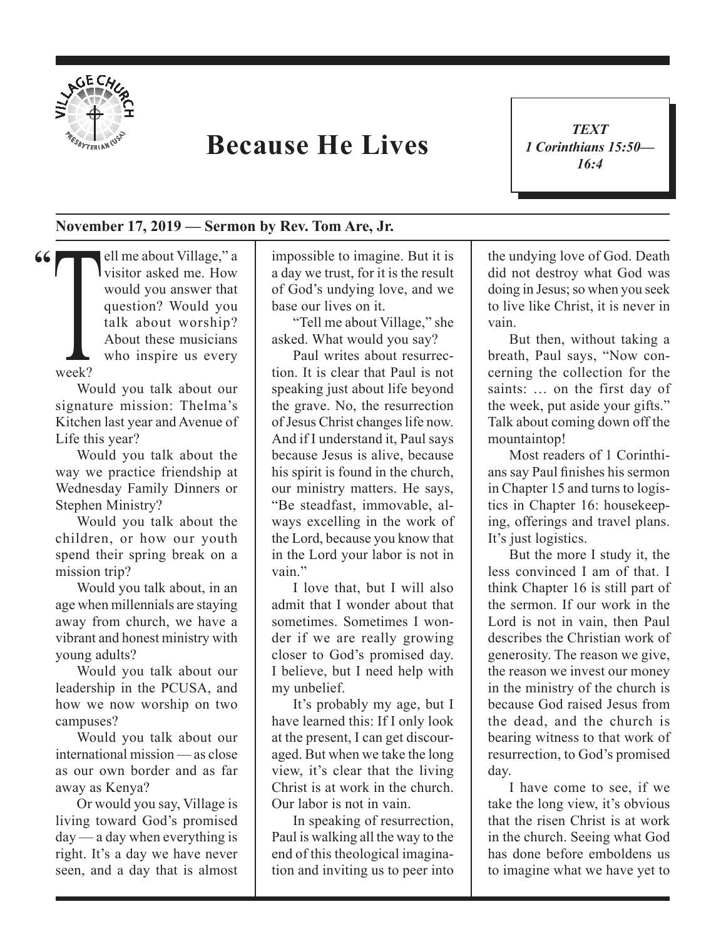

**"**

## **Because He Lives**

*TEXT 1 Corinthians 15:50— 16:4*

1

## **November 17, 2019 — Sermon by Rev. Tom Are, Jr.**

ell me about Village," a<br>visitor asked me. How<br>would you answer that<br>question? Would you<br>talk about worship?<br>About these musicians<br>who inspire us every<br>week? visitor asked me. How would you answer that question? Would you talk about worship? About these musicians who inspire us every week?

Would you talk about our signature mission: Thelma's Kitchen last year and Avenue of Life this year?

Would you talk about the way we practice friendship at Wednesday Family Dinners or Stephen Ministry?

Would you talk about the children, or how our youth spend their spring break on a mission trip?

Would you talk about, in an age when millennials are staying away from church, we have a vibrant and honest ministry with young adults?

Would you talk about our leadership in the PCUSA, and how we now worship on two campuses?

Would you talk about our international mission — as close as our own border and as far away as Kenya?

Or would you say, Village is living toward God's promised day — a day when everything is right. It's a day we have never seen, and a day that is almost

impossible to imagine. But it is a day we trust, for it is the result of God's undying love, and we base our lives on it.

"Tell me about Village," she asked. What would you say?

Paul writes about resurrection. It is clear that Paul is not speaking just about life beyond the grave. No, the resurrection of Jesus Christ changes life now. And if I understand it, Paul says because Jesus is alive, because his spirit is found in the church, our ministry matters. He says, "Be steadfast, immovable, always excelling in the work of the Lord, because you know that in the Lord your labor is not in vain"

I love that, but I will also admit that I wonder about that sometimes. Sometimes I wonder if we are really growing closer to God's promised day. I believe, but I need help with my unbelief.

It's probably my age, but I have learned this: If I only look at the present, I can get discouraged. But when we take the long view, it's clear that the living Christ is at work in the church. Our labor is not in vain.

In speaking of resurrection, Paul is walking all the way to the end of this theological imagination and inviting us to peer into the undying love of God. Death did not destroy what God was doing in Jesus; so when you seek to live like Christ, it is never in vain.

But then, without taking a breath, Paul says, "Now concerning the collection for the saints: … on the first day of the week, put aside your gifts." Talk about coming down off the mountaintop!

Most readers of 1 Corinthians say Paul finishes his sermon in Chapter 15 and turns to logistics in Chapter 16: housekeeping, offerings and travel plans. It's just logistics.

But the more I study it, the less convinced I am of that. I think Chapter 16 is still part of the sermon. If our work in the Lord is not in vain, then Paul describes the Christian work of generosity. The reason we give, the reason we invest our money in the ministry of the church is because God raised Jesus from the dead, and the church is bearing witness to that work of resurrection, to God's promised day.

I have come to see, if we take the long view, it's obvious that the risen Christ is at work in the church. Seeing what God has done before emboldens us to imagine what we have yet to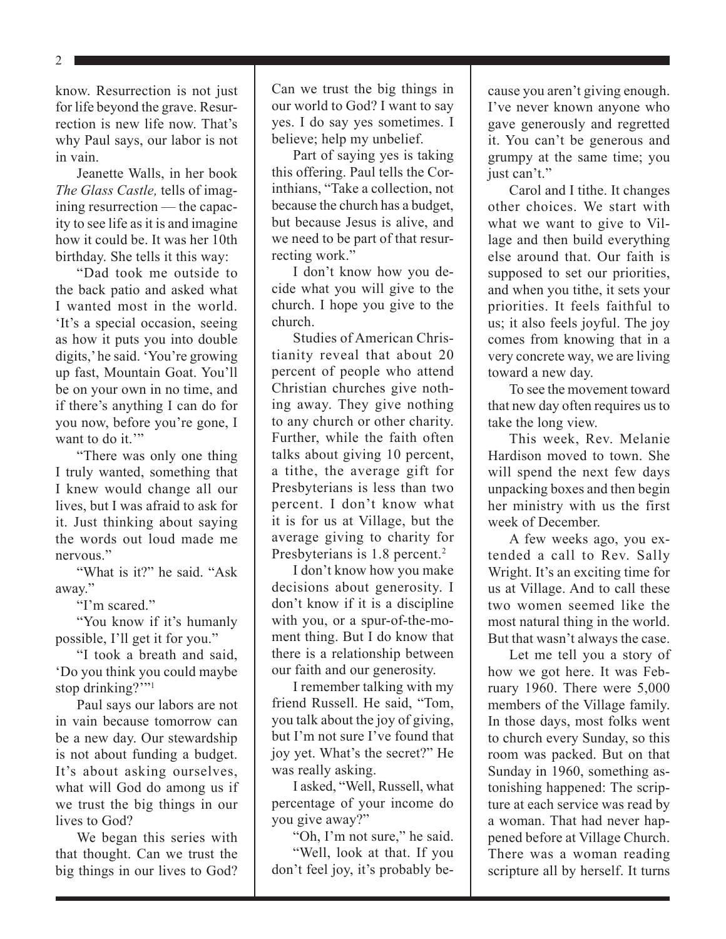know. Resurrection is not just for life beyond the grave. Resurrection is new life now. That's why Paul says, our labor is not in vain.

Jeanette Walls, in her book *The Glass Castle,* tells of imagining resurrection — the capacity to see life as it is and imagine how it could be. It was her 10th birthday. She tells it this way:

"Dad took me outside to the back patio and asked what I wanted most in the world. 'It's a special occasion, seeing as how it puts you into double digits,' he said. 'You're growing up fast, Mountain Goat. You'll be on your own in no time, and if there's anything I can do for you now, before you're gone, I want to do it."

"There was only one thing I truly wanted, something that I knew would change all our lives, but I was afraid to ask for it. Just thinking about saying the words out loud made me nervous<sup>"</sup>

"What is it?" he said. "Ask away."

"I'm scared."

"You know if it's humanly possible, I'll get it for you."

"I took a breath and said, 'Do you think you could maybe stop drinking?"<sup>1</sup>

Paul says our labors are not in vain because tomorrow can be a new day. Our stewardship is not about funding a budget. It's about asking ourselves, what will God do among us if we trust the big things in our lives to God?

We began this series with that thought. Can we trust the big things in our lives to God?

Can we trust the big things in our world to God? I want to say yes. I do say yes sometimes. I believe; help my unbelief.

Part of saying yes is taking this offering. Paul tells the Corinthians, "Take a collection, not because the church has a budget, but because Jesus is alive, and we need to be part of that resurrecting work."

I don't know how you decide what you will give to the church. I hope you give to the church.

Studies of American Christianity reveal that about 20 percent of people who attend Christian churches give nothing away. They give nothing to any church or other charity. Further, while the faith often talks about giving 10 percent, a tithe, the average gift for Presbyterians is less than two percent. I don't know what it is for us at Village, but the average giving to charity for Presbyterians is 1.8 percent.<sup>2</sup>

I don't know how you make decisions about generosity. I don't know if it is a discipline with you, or a spur-of-the-moment thing. But I do know that there is a relationship between our faith and our generosity.

I remember talking with my friend Russell. He said, "Tom, you talk about the joy of giving, but I'm not sure I've found that joy yet. What's the secret?" He was really asking.

I asked, "Well, Russell, what percentage of your income do you give away?"

"Oh, I'm not sure," he said. "Well, look at that. If you don't feel joy, it's probably be-

cause you aren't giving enough. I've never known anyone who gave generously and regretted it. You can't be generous and grumpy at the same time; you just can't."

Carol and I tithe. It changes other choices. We start with what we want to give to Village and then build everything else around that. Our faith is supposed to set our priorities, and when you tithe, it sets your priorities. It feels faithful to us; it also feels joyful. The joy comes from knowing that in a very concrete way, we are living toward a new day.

To see the movement toward that new day often requires us to take the long view.

This week, Rev. Melanie Hardison moved to town. She will spend the next few days unpacking boxes and then begin her ministry with us the first week of December.

A few weeks ago, you extended a call to Rev. Sally Wright. It's an exciting time for us at Village. And to call these two women seemed like the most natural thing in the world. But that wasn't always the case.

Let me tell you a story of how we got here. It was February 1960. There were 5,000 members of the Village family. In those days, most folks went to church every Sunday, so this room was packed. But on that Sunday in 1960, something astonishing happened: The scripture at each service was read by a woman. That had never happened before at Village Church. There was a woman reading scripture all by herself. It turns